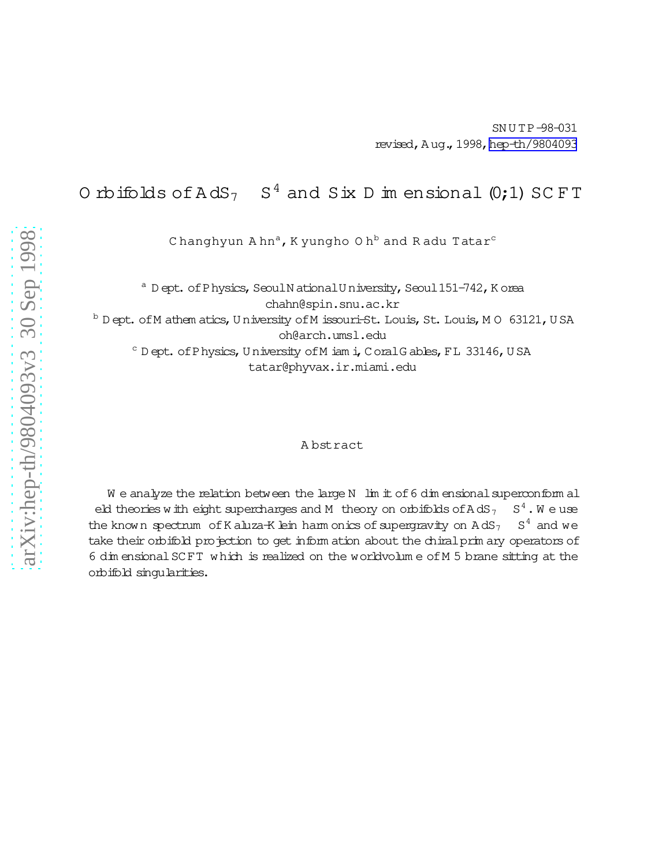O rbifolds of  $AdS_7$  $S<sup>4</sup>$  and Six D im ensional (0;1) SC FT

C hanghyun  $A$  hn<sup>a</sup>, K yungho O h<sup>b</sup> and R adu Tatar<sup>c</sup>

 $a$  D ept. of P hysics, Seoul N ational U niversity, Seoul 151-742, K orea

chahn@spin.snu.ac.kr

b D ept. of M athem atics, U niversity of M issouri-St. Louis, St. Louis, M O 63121, U SA oh@arch.umsl.edu

c D ept. of P hysics, U niversity of M iam i, C oral G ables, FL 33146, U SA

tatar@phyvax.ir.miami.edu

#### A bstract

We analyze the relation between the large N  $\;$  lim it of 6 dim ensional superconform all eld theories with eight supercharges and M theory on orbifolds of AdS<sub>7</sub>  $S<sup>4</sup>$ . We use the known spectrum of K aluza-K lein harm onics of supergravity on  $AdS_7$  $S<sup>4</sup>$  and we take their orbifold projection to get inform ation about the chiral prim ary operators of 6 dim ensionalSCFT which is realized on the worldvolum e ofM 5 brane sitting at the orbifold singularities.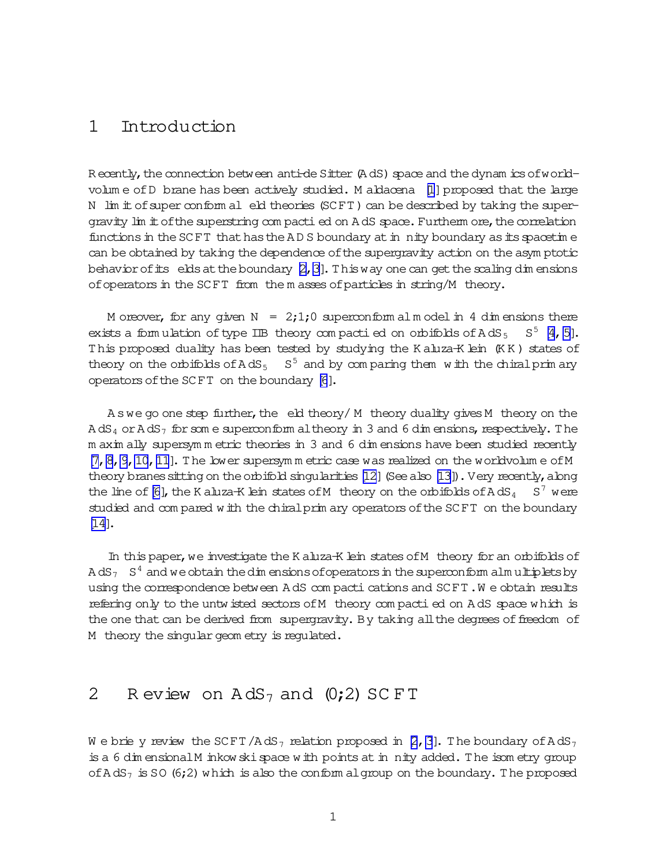#### 1 Introduction

R ecently, the connection between anti-de Sitter (A dS) space and the dynam ics of world-volum e of D brane has been actively studied. M aldacena [\[1](#page-13-0)] proposed that the large N lim it of super conform al eld theories (SCFT) can be described by taking the supergravity lim it of the superstring com pacti ed on A dS space. Furtherm ore, the correlation functions in the SCFT that has the  $A$ D S boundary at in nity boundary as its spacetime can be obtained by taking the dependence ofthe supergravity action on the asym ptotic behavior of its elds at the boundary  $[2, 3]$ . This way one can get the scaling dim ensions ofoperatorsin the SCFT from the m asses ofparticles in string/M theory.

M oreover, for any given  $N = 2,1,0$  superconform alm odel in 4 dim ensions there exists a formulation of type IIB theory compactied on orbifolds of  $AdS_5$   $S^5$  [4, 5]. This proposed duality has been tested by studying the K aluza-K lein (KK) states of theory on the orbifolds of  $AdS_5-S^5$  and by comparing them with the chiralprimary operators of the SCFT on the boundary [\[6](#page-14-0)].

 $A$  swe go one step further, the eld theory/ M theory duality gives M theory on the  $A dS<sub>4</sub>$  or  $A dS<sub>7</sub>$  for some superconform altheory in 3 and 6 dim ensions, respectively. The m axim ally supersym m etric theories in 3 and 6 dim ensions have been studied recently [\[7,8,9,10](#page-14-0),[11](#page-14-0)]. The lower supersym m etric case was realized on the worldvolum e ofM theory branes sitting on the orbifold singularities  $[12]$  (See also  $[13]$ ). Very recently, along the line of [\[6\]](#page-14-0), the K aluza-K lein states of M theory on the orbifolds of A dS<sub>4</sub> S<sup>7</sup> were studied and com pared with the chiralprim ary operatorsofthe SCFT on the boundary [\[14\]](#page-14-0).

In this paper, we investigate the K aluza-K lein states of M theory for an orbifolds of A dS $_7$   $\,$  S  $^4$  and we obtain the dim ensions of operators in the superconform alm ultiplets by using the correspondence between A dS com pacti cations and SCFT. We obtain results refering only to the untwisted sectors ofM theory com pactied on A dS space which is the one that can be derived from supergravity. By taking all the degrees of freedom of M theory the singular geom etry is regulated.

#### 2 R eview on  $AdS_7$  and  $(0;2)$  SC FT

We brie y review the SCFT/AdS<sub>7</sub> relation proposed in [\[2](#page-13-0),[3](#page-13-0)]. The boundary of AdS<sub>7</sub> is a 6 dim ensional M inkow ski space with points at in nity added. The isom etry group of AdS<sub>7</sub> is SO (6;2) which is also the conform algroup on the boundary. The proposed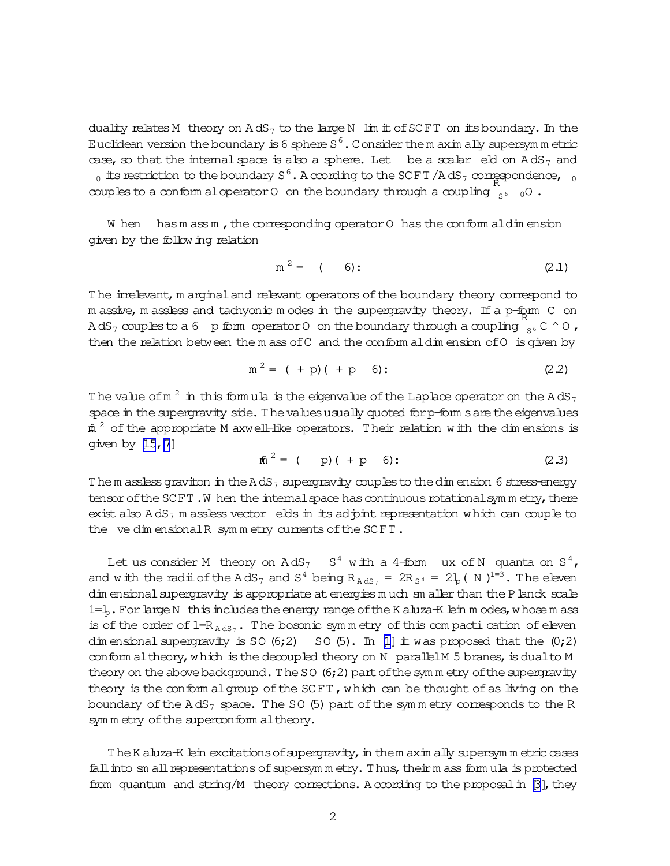<span id="page-2-0"></span>duality relates M theory on  $AdS_7$  to the large N lim it of SCFT on its boundary. In the Euclidean version the boundary is 6 sphere S  $^6$  . Consider the m axim ally supersym m etric case, so that the internal space is also a sphere. Let be a scalar eld on  $AdS_7$  and  $_0$  its restriction to the boundary S  $^6$  . A ccording to the SCFT /A dS  $_7$  correspondence,  $_{\phantom{0}0}$ couples to a conform aloperator 0 on the boundary through a coupling  $\int_{S^6}$  0.

W hen has m ass m, the corresponding operator  $O$  has the conform aldim ension given by the following relation

$$
m^2 = (6): \t(2.1)
$$

The irrelevant, m arginal and relevant operators of the boundary theory correspond to m assive, m assless and tachyonic m odes in the supergravity theory. If a p-form  $\,$  C  $\,$  on AdS<sub>7</sub> couples to a 6 p form operator 0 on the boundary through a coupling  $\int_{S^6}^{\infty} C \wedge 0$  , then the relation between the m ass of C and the conform aldim ension of O is given by

$$
m^2 = (+ p) (+ p 6): \t(2.2)
$$

The value of  $\text{m}^{\,2}$  in this formula is the eigenvalue of the Laplace operator on the AdS $_7$ space in the supergravity side. The values usually quoted for p-form s are the eigenvalues  $\tt{m}$   $^2$  of the appropriate M axwell-like operators. Their relation with the dimensions is given by  $[15, 7]$  $[15, 7]$  $[15, 7]$ 

$$
\hat{m}^2 = (p)(+p 6): \qquad (2.3)
$$

Them assless graviton in the A dS<sub>7</sub> supergravity couples to the dim ension 6 stress-energy tensor of the SCFT. W hen the internal space has continuous rotationalsym m etry, there exist also  $AdS_7$  m assless vector elds in its adjoint representation which can couple to the vedim ensionalR symmetry currents of the SCFT.

Let us consider M theory on  $AdS_7-S^4$  with a 4-form ux of N quanta on  $S^4$ , and with the radii of the AdS<sub>7</sub> and S<sup>4</sup> being R<sub>AdS7</sub> = 2R<sub>S<sup>4</sub></sup> = 2L<sub>p</sub>(N)<sup>1=3</sup>. The eleven</sub> dim ensional supergravity is appropriate at energies m uch sm aller than the Planck scale 1= $\downarrow$ . For large N this includes the energy range of the K aluza-K lein m odes, whose m ass is of the order of  $1=R_{AdS_7}$ . The bosonic symmetry of this compacti cation of eleven dim ensional supergravity is SO  $(6;2)$  SO  $(5)$ . In [\[1\]](#page-13-0) it was proposed that the  $(0;2)$ conform altheory, which is the decoupled theory on N parallelM 5 branes, is dualto M theory on the above background. The SO (6;2) part of the sym m etry of the supergravity theory is the conform algroup of the  $SCFT$ , which can be thought of as living on the boundary of the  $AdS_7$  space. The SO (5) part of the symmetry corresponds to the R sym m etry of the superconform altheory.

The K aluza-K lein excitations of supergravity, in them axim ally supersym m etric cases fall into sm all representations of supersym m etry. Thus, their m ass form ula is protected from quantum and string/M theory corrections. A ccording to the proposal in  $\beta$ , they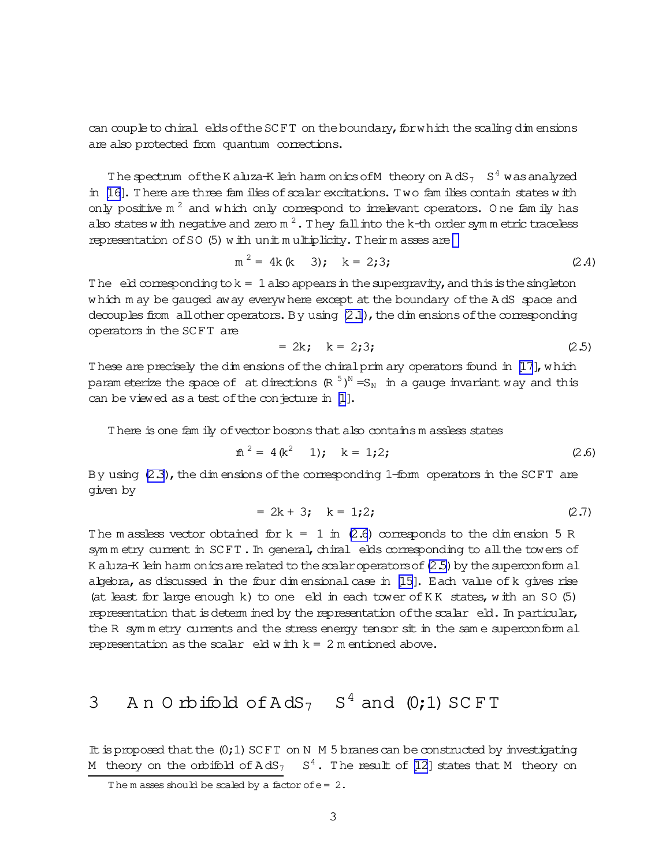<span id="page-3-0"></span>can couple to chiral elds of the SCFT on the boundary, for which the scaling dim ensions are also protected from quantum corrections.

The spectrum of the K aluza-K lein harm onics of M theory on  $AdS_7-S^4$  was analyzed in [\[16\]](#page-14-0). There are three fam ilies of scalar excitations. Two fam ilies contain states with only positive  $m^2$  and which only correspond to irrelevant operators. One family has also states with negative and zero m  $^2$  . They fall into the k-th order symm etric traceless representation of  $SO(5)$  with unit m ultiplicity. Theirm asses are

$$
m^2 = 4k (k - 3); \quad k = 2; 3; \tag{2.4}
$$

The eld corresponding to  $k = 1$  also appears in the supergravity, and this is the singleton which m ay be gauged away everywhere except at the boundary of the A dS space and decouples from all other operators. By using  $(2.1)$ , the dim ensions of the corresponding operators in the SCFT are

$$
= 2k; \quad k = 2;3; \tag{2.5}
$$

These are precisely the dim ensions of the chiral prim ary operators found in [\[17\]](#page-14-0), which param eterize the space of at directions  $(\mathbb{R}^{-5})^\mathbb{N} = \mathbb{S}_\mathbb{N}$  in a gauge invariant way and this can be viewed as a test of the conjecture in  $[1]$ .

There is one fam ily of vector bosons that also contains m assless states

$$
\hat{m}^2 = 4(k^2 \quad 1); \quad k = 1;2; \tag{2.6}
$$

By using  $(2.3)$ , the dim ensions of the corresponding 1-form operators in the SCFT are given by

$$
= 2k + 3; \quad k = 1;2; \tag{2.7}
$$

The m assless vector obtained for  $k = 1$  in (2.6) corresponds to the dim ension 5 R sym m etry current in SCFT. In general, chiral elds corresponding to all the towers of K aluza-K lein harm onics are related to the scalar operators of (2.5) by the superconform al algebra, as discussed in the four dim ensional case in  $[15]$ . Each value of k gives rise (at least for large enough k) to one eld in each tower ofK K states, with an SO (5) representation that is determ ined by the representation of the scalar eld. In particular, the R symm etry currents and the stress energy tensor sit in the same superconform al representation as the scalar eld with  $k = 2$  m entioned above.

# 3 An Orbifold of  $AdS_7$   $S^4$  and  $(0,1)$  SCFT

It is proposed that the  $(0;1)$  SCFT on N M 5 branes can be constructed by investigating M theory on the orbifold of  $AdS_7$   $S^4$ . The result of [\[12\]](#page-14-0) states that M theory on

The m asses should be scaled by a factor of  $e=2$ .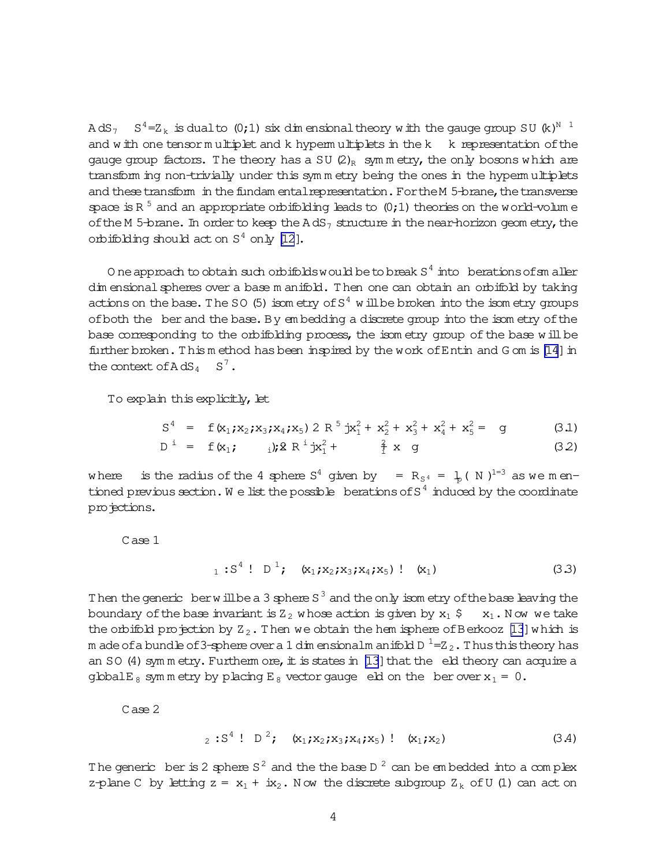<span id="page-4-0"></span>AdS $_7$   $\,$  S $^4$ =Z $_{\rm k}$  is dualto (0;1) six dimensionaltheory with the gauge group SU (k) $^{\rm N-1}$ and with one tensorm ultiplet and k hyperm ultiplets in the k k representation of the gauge group factors. The theory has a SU  $(2)_R$  symmetry, the only bosons which are transform ing non-trivially under this symmetry being the ones in the hypermultiplets and these transform in the fundam ental representation. For the M 5-brane, the transverse space is R<sup>5</sup> and an appropriate orbifolding leads to  $(0,1)$  theories on the world-volum e of the M 5-brane. In order to keep the  $AdS_7$  structure in the near-horizon geom etry, the orbifolding should act on  $S^4$  only [\[12](#page-14-0)].

O ne approach to obtain such orbifolds would be to break  $S^4$  into berations of sm aller dim ensional spheres over a base m anifold. Then one can obtain an orbifold by taking actions on the base. The SO (5) isom etry of  $\mathrm{S}^4$  will be broken into the isom etry groups of both the ber and the base. By em bedding a discrete group into the isom etry of the base corresponding to the orbifolding process, the isom etry group of the base will be further broken. This m ethod has been inspired by the work of Entin and G om is [\[14](#page-14-0)] in the context of  $AdS_4$   $S^7$ .

To explain this explicitly, let

$$
S4 = f(x1,x2,x3,x4,x5) 2 R5 jx12 + x22 + x32 + x42 + x52 = g
$$
 (3.1)

$$
D^{i} = f(x_{1}; \t i); 2 R^{i} jx_{1}^{2} + \t \t \frac{2}{1} x y_{1} \t (32)
$$

where is the radius of the 4 sphere  $S^4$  given by =  $R_{S^4}$  =  $1/2$  (N )<sup>1=3</sup> as we mentioned previous section. We list the possible berations of S<sup>4</sup> induced by the coordinate pro<del>j</del>ections.

Case 1

$$
1 : S4 : D1
$$
;  $(x_1, x_2, x_3, x_4, x_5) : (x_1)$  (3.3)

Then the generic berwillbe a 3 sphere S<sup>3</sup> and the only isom etry of the base leaving the boundary of the base invariant is  $Z_2$  whose action is given by  $x_1 \div x_1$ . Now we take the orbifold projection by  $Z_2$ . Then we obtain the hem isphere of Berkooz [\[13](#page-14-0)] which is m ade ofa bundle of 3-sphere over a 1 dim ensionalm anifold D  $^1$  =Z  $_2$  . Thus this theory has an SO  $(4)$  sym m etry. Furtherm ore, it is states in [\[13\]](#page-14-0) that the eld theory can acquire a global E<sub>8</sub> sym m etry by placing E<sub>8</sub> vector gauge eld on the berover  $x_1 = 0$ .

Case 2

$$
_{2}:S^{4}:D^{2}; (x_{1};x_{2};x_{3};x_{4};x_{5}): (x_{1};x_{2})
$$
 (3.4)

The generic ber is 2 sphere S<sup>2</sup> and the the base D<sup>2</sup> can be embedded into a complex z-plane C by letting  $z = x_1 + ix_2$ . Now the discrete subgroup  $Z_k$  of U (1) can act on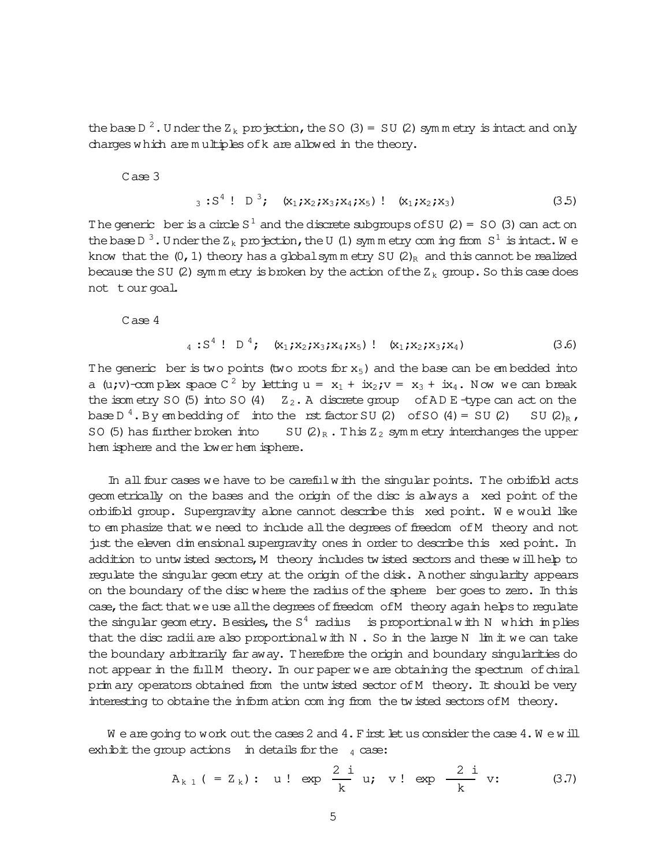the base D  $^2$  . U nder the Z  $_{\rm k}$  projection, the SO (3) = SU (2) symmetry is intact and only charges which are m ultiples ofk are allowed in the theory.

Case 3

$$
3: S4 : D3
$$
;  $(x_1, x_2, x_3, x_4, x_5) : (x_1, x_2, x_3)$  (3.5)

The generic ber is a circle  $S^1$  and the discrete subgroups of SU (2) = SO (3) can act on the base D<sup>3</sup>. Under the Z<sub>k</sub> projection, the U (1) symmetry coming from S<sup>1</sup> is intact. We know that the  $(0, 1)$  theory has a global sym m etry SU  $(2)_R$  and this cannot be realized because the SU (2) sym m etry is broken by the action of the  $Z_k$  group. So this case does not tourgoal.

Case 4

$$
_{4}:S^{4}:\mathbb{D}^{4};\quad\{x_{1};x_{2};x_{3};x_{4};x_{5}\}:\quad\{x_{1};x_{2};x_{3};x_{4}\}\qquad\qquad(3.6)
$$

The generic ber is two points (two roots for  $x_5$ ) and the base can be embedded into a (u;v)-complex space C  $^2$  by letting u =  $x_1 + ix_2$ ; v =  $x_3 + ix_4$ . Now we can break the isom etry SO (5) into SO (4)  $Z_2$ . A discrete group of AD E -type can act on the base D<sup>4</sup>. By embedding of into the rst factor SU (2) of SO (4) = SU (2) SU (2)<sub>R</sub>, SO (5) has further broken into SU  $(2)_R$ . This  $Z_2$  sym m etry interchanges the upper hem isphere and the lower hem isphere.

In all four cases we have to be careful with the singular points. The orbifold acts geom etrically on the bases and the origin of the disc is always a xed point of the orbifold group. Supergravity alone cannot describe this xed point. W e would like to em phasize that we need to include all the degrees of freedom of M theory and not just the eleven dim ensional supergravity ones in order to describe this xed point. In addition to untwisted sectors, M theory includes twisted sectors and these will help to regulate the singular geom etry at the origin of the disk. A nother singularity appears on the boundary of the disc where the radius of the sphere ber goes to zero. In this case, the fact that we use all the degrees of freedom of M theory again helps to regulate the singular geometry. Besides, the  $S^4$  radius is proportional with N which im plies that the disc radii are also proportional with  $N$ . So in the large  $N$  lim it we can take the boundary arbitrarily far away. Therefore the origin and boundary singularities do not appear in the full M theory. In our paper we are obtaining the spectrum of chiral prim ary operators obtained from the untwisted sector of M theory. It should be very interesting to obtaine the inform ation com ing from the twisted sectors of M theory.

We are going to work out the cases 2 and  $4$ . First let us consider the case  $4$ . We will exhibit the group actions in details for the  $_4$  case:

$$
A_{k 1} (= Z_k):
$$
 u! exp  $\frac{2 i}{k}$  u; v! exp  $\frac{2 i}{k}$  v: (3.7)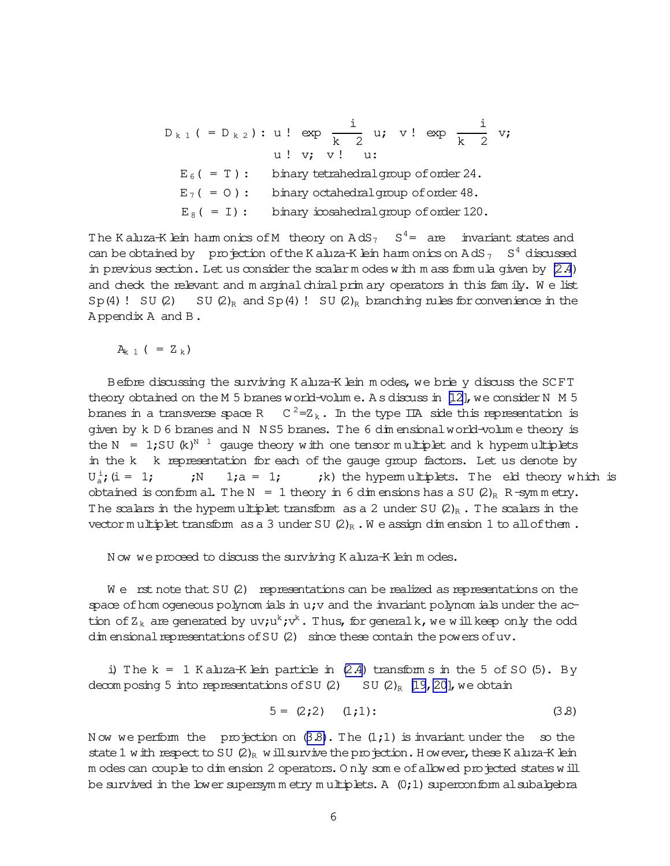<span id="page-6-0"></span>
$$
D_{k1} (= D_{k2})
$$
: u! exp  $\frac{i}{k}$  u; v! exp  $\frac{i}{k}$  v;  
u! v; v! u:  
 $E_6 (= T)$ : binary tetrahedral group of order 24.  
 $E_7 (= 0)$ : binary octahedral group of order 48.  
 $E_8 (= I)$ : binary icosahedral group of order 120.

The K aluza-K lein harm onics of M theory on  $AdS_7-S^4=$  are invariant states and can be obtained by projection of the K aluza-K lein harm onics on A dS  $_7$  S<sup>4</sup> discussed in previous section. Let us consider the scalar m odes with m ass formula given by  $(2.4)$ and check the relevant and m arginal chiral prim ary operators in this fam ily. We list  $Sp(4)$ ! SU (2) SU (2)<sub>R</sub> and  $Sp(4)$ ! SU (2)<sub>R</sub> branching rules for convenience in the A ppendix A and B.

 $A_{k}$  1 ( = Z <sub>k</sub>)

Before discussing the surviving K aluza-K lein m odes, we brie y discuss the SCFT theory obtained on the M 5 branes world-volum e. A s discuss in [\[12\]](#page-14-0), we consider N  $M$  5 branes in a transverse space R  $C^2=Z_k$ . In the type IIA side this representation is given by k D 6 branes and N N S5 branes. The 6 dim ensionalworld-volum e theory is the N  $= 1$ ;SU (k)<sup>N 1</sup> gauge theory with one tensor multiplet and k hypermultiplets in the k k representation for each of the gauge group factors. Let us denote by  $U_a^i$  $i>N$  1;a = 1;  $i$ , is the hypermultiplets. The eld theory which is obtained is conform al. The N = 1 theory in 6 dim ensions has a SU  $(2)_R$  R-sym m etry. The scalars in the hypermultiplet transform as a 2 under SU  $(2)_R$ . The scalars in the vector multiplet transform as a 3 under SU  $(2)_R$ . W e assign dim ension 1 to all of them.

N ow we proceed to discuss the surviving K aluza-K lein m odes.

We rst note that SU (2) representations can be realized as representations on the space of hom ogeneous polynom ials in  $u$ ; v and the invariant polynom ials under the action of  $Z_k$  are generated by uv;u<sup>k</sup>;v<sup>k</sup>. Thus, for generalk, we will keep only the odd dim ensional representations of SU  $(2)$  since these contain the powers of uv.

i) The  $k = 1$  K aluza-K lein particle in  $(2.4)$  transform s in the 5 of SO (5). By decom posing 5 into representations of SU  $(2)$  SU  $(2)_R$  [\[19,20\]](#page-14-0), we obtain

$$
5 = (2; 2) \quad (1; 1): \tag{3.8}
$$

N ow we perform the projection on  $(3.8)$ . The  $(1,1)$  is invariant under the so the state 1 with respect to SU  $(2)_R$  will survive the projection. H owever, these K aluza-K lein m odes can couple to dim ension 2 operators. Only some of allowed projected states will be survived in the lower supersymmetry multiplets. A  $(0;1)$  superconform alsubalgebra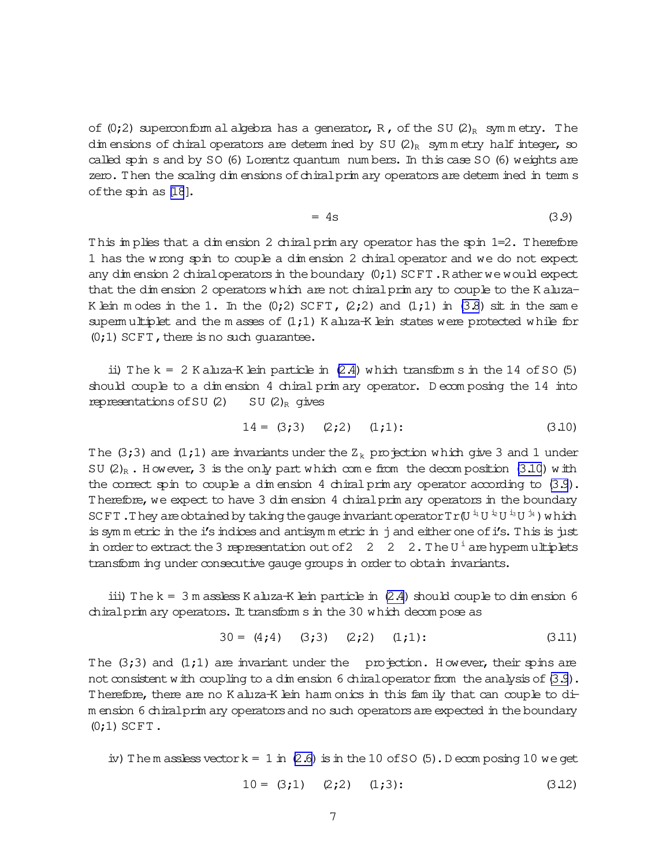<span id="page-7-0"></span>of (0;2) superconform al algebra has a generator, R, of the SU (2)<sub>R</sub> symmetry. The dim ensions of chiral operators are determ ined by SU  $(2)_R$  sym m etry half integer, so called spin s and by SO (6) Lorentz quantum num bers. In this case SO (6) weights are zero. Then the scaling dim ensions of chiral prim ary operators are determ ined in term s of the spin as [\[18](#page-14-0)].

$$
= 4s \tag{3.9}
$$

This im plies that a dim ension 2 chiralprim ary operator has the spin 1=2. Therefore 1 has the wrong spin to couple a dim ension 2 chiral operator and we do not expect any dim ension 2 chiral operators in the boundary  $(0,1)$  SCFT. R ather we would expect that the dim ension 2 operators which are not chiral prim ary to couple to the K aluza-K lein m odes in the 1. In the  $(0;2)$  SCFT,  $(2;2)$  and  $(1;1)$  in  $(3.8)$  sit in the same superm ultiplet and the m asses of  $(1;1)$  K aluza-K lein states were protected while for  $(0;1)$  SCFT, there is no such quarantee.

ii) The  $k = 2$  K aluza-K lein particle in  $(2.4)$  which transform s in the 14 of SO (5) should couple to a dim ension 4 chiral prim ary operator. D ecom posing the 14 into representations of SU  $(2)$  SU  $(2)_R$  gives

$$
14 = (3;3) \quad (2;2) \quad (1;1): \tag{3.10}
$$

The (3;3) and (1;1) are invariants under the  $Z_k$  projection which give 3 and 1 under SU  $(2)_R$ . H owever, 3 is the only part which com e from the decom position (3.10) with the correct spin to couple a dim ension 4 chiral prim ary operator according to  $(3.9)$ . Therefore,we expect to have 3 dim ension 4 chiralprim ary operators in the boundary SC FT . They are obtained by taking the gauge invariant operator T r (U  $^{\rm i_{1}}$  U  $^{\rm i_{2}}$  U  $^{\rm i_{3}}$  U  $^{\rm j_{4}}$  ) which is symm etric in the i's indices and antisymm etric in j and either one of i's. This is just in order to extract the 3 representation out of  $2 \quad 2 \quad 2$ . The U<sup>i</sup> are hypermultiplets transform ing under consecutive gauge groups in order to obtain invariants.

iii) The  $k = 3$  m assless K aluza-K lein particle in  $(2.4)$  should couple to dim ension 6 chiralprim ary operators. It transform s in the 30 which decom pose as

$$
30 = (4; 4) \quad (3; 3) \quad (2; 2) \quad (1; 1): \tag{3.11}
$$

The  $(3,3)$  and  $(1,1)$  are invariant under the projection. However, their spins are not consistent with coupling to a dim ension 6 chiral operator from the analysis of (3.9). Therefore, there are no K aluza-K lein harm onics in this fam ily that can couple to dim ension 6 chiralprim ary operatorsand no such operatorsareexpected in the boundary  $(0;1)$  SCFT.

iv) The m assless vector  $k = 1$  in [\(2.6\)](#page-3-0) is in the 10 of SO (5). Decomposing 10 we get

$$
10 = (3;1) \quad (2;2) \quad (1;3): \tag{3.12}
$$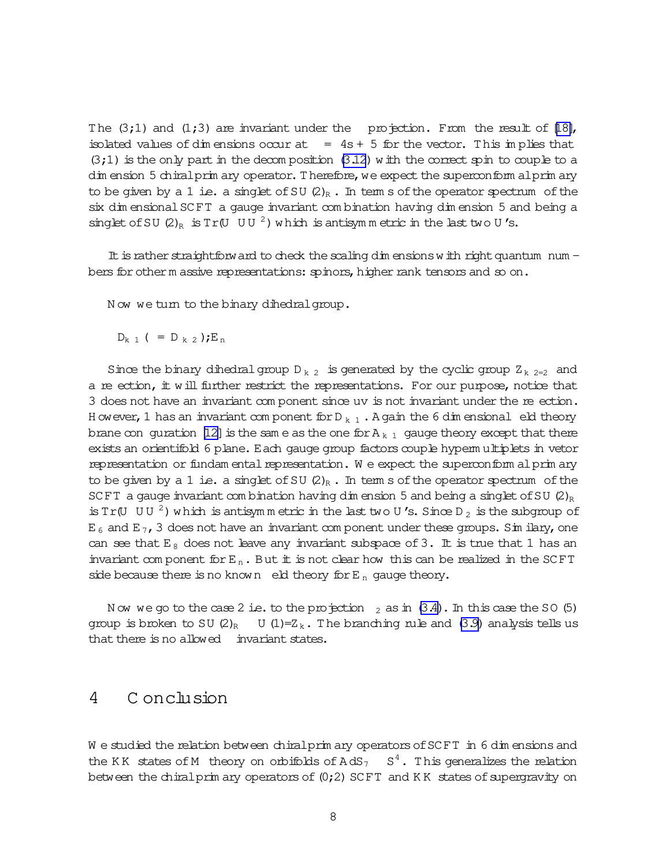The  $(3;1)$  and  $(1;3)$  are invariant under the projection. From the result of [\[18\]](#page-14-0), isolated values of dim ensions occur at  $= 4s + 5$  for the vector. This implies that  $(3;1)$  is the only part in the decomposition  $(3.12)$  with the correct spin to couple to a dim ension 5 chiralprim ary operator. Therefore, we expect the superconform alprim ary to be given by a 1 i.e. a singlet of SU  $(2)_R$ . In term s of the operator spectrum of the six dim ensionalSCFT a gauge invariant com bination having dim ension 5 and being a singlet of SU  $(2)_R$  is Tr(U UU<sup>2</sup>) which is antisym m etric in the last two U's.

It is rather straightforward to check the scaling dim ensions with right quantum num bers for otherm assive representations: spinors, higher rank tensors and so on.

Now we turn to the binary dihedral group.

$$
D_{k 1}
$$
 ( =  $D_{k 2}$ ); $E_n$ 

Since the binary dihedral group  $D_{k,2}$  is generated by the cyclic group  $Z_{k,2=2}$  and a re ection, it will further restrict the representations. For our purpose, notice that 3 does not have an invariant com ponent since uv is not invariant under the re
ection. H owever, 1 has an invariant component for  $D_{k-1}$ . A gain the 6 dim ensional eld theory brane con guration [\[12\]](#page-14-0) is the sam e as the one for  $A_{k-1}$  gauge theory except that there exists an orientifold 6 plane. Each gauge group factors couple hyperm ultiplets in vetor representation or fundam ental representation. We expect the superconform alprim ary to be given by a 1 i.e. a singlet of SU  $(2)_R$ . In term s of the operator spectrum of the SCFT a gauge invariant com bination having dim ension 5 and being a singlet of SU  $(2)_R$ is Tr(U UU  $^2$ ) which is antisymmetric in the last two U's. Since D<sub>2</sub> is the subgroup of  $E_6$  and  $E_7$ , 3 does not have an invariant com ponent under these groups. Sim ilary, one can see that  $E_8$  does not leave any invariant subspace of 3. It is true that 1 has an invariant com ponent for  $E_n$ . But it is not clear how this can be realized in the SCFT side because there is no known eld theory for  $E_n$  gauge theory.

Now we go to the case 2 i.e. to the projection  $_2$  as in  $(3.4)$ . In this case the SO (5) group is broken to SU  $(2)_R$  U  $(1)=Z_k$ . The branching rule and  $(3.9)$  analysis tells us that there is no allowed invariant states.

#### 4 C onclusion

W e studied the relation between chiral prim ary operators of SCFT in 6 dim ensions and the KK states of M theory on orbifolds of  $AdS_7-S^4$ . This generalizes the relation between the chiral prim ary operators of  $(0;2)$  SCFT and KK states of supergravity on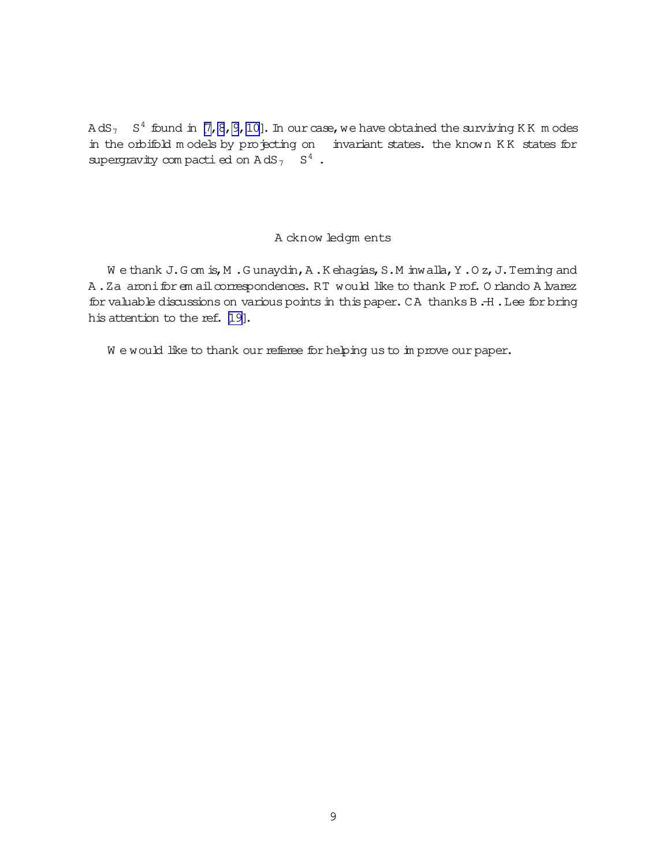AdS<sub>7</sub> S<sup>4</sup> found in [\[7,8,9,10\]](#page-14-0). In ourcase, we have obtained the surviving KK  $m$  odes in the orbifold m odels by projecting on invariant states. the known KK states for supergravity compactied on  $AdS_7$   $S^4$ .

#### A cknow ledgm ents

W e thank J.G om is, M .G unaydin, A.K ehagias, S.M inwalla, Y.O z, J.Teming and A.Za aronifor em ail correspondences. RT would like to thank Prof. O rlando A lvarez for valuable discussions on various points in this paper. CA thanks B.-H. Lee for bring his attention to the ref. [\[19\]](#page-14-0).

We would like to thank our referee for helping us to im prove our paper.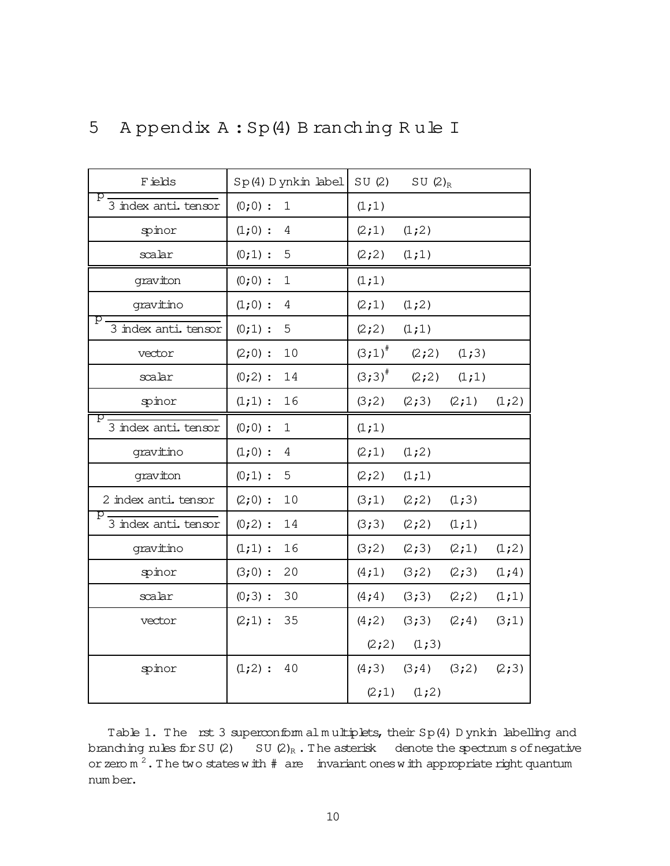| F ields                   | $Sp(4)$ D ynkin label       | SU(2)     | SU $(2)_{R}$      |        |         |
|---------------------------|-----------------------------|-----------|-------------------|--------|---------|
| р<br>3 index anti. tensor | $(0;0)$ :<br>$\mathbf{1}$   | (1;1)     |                   |        |         |
| spinor                    | $(1;0)$ :<br>4              | (2;1)     | (1;2)             |        |         |
| scalar                    | $(0;1)$ :<br>5              | (2; 2)    | (1;1)             |        |         |
| graviton                  | $(0;0)$ :<br>$\mathbf{1}$   | (1;1)     |                   |        |         |
| gravitino                 | $(1;0)$ :<br>4              | (2;1)     | (1;2)             |        |         |
| р<br>3 index anti. tensor | $(0;1)$ :<br>5              | (2;2)     | (1;1)             |        |         |
| vector                    | 10<br>$(2;0)$ :             | $(3;1)^*$ | (2; 2)            | (1;3)  |         |
| scalar                    | $(0;2)$ :<br>14             | $(3;3)^*$ | (2; 2)            | (1;1)  |         |
| spinor                    | 16<br>$(1;1)$ :             | (3;2)     | (2;3)             | (2;1)  | (1;2)   |
| р<br>3 index anti. tensor | $(0;0)$ :<br>$\mathbf{1}$   | (1;1)     |                   |        |         |
| gravitino                 | $(1;0)$ :<br>$\overline{4}$ | (2;1)     | (1;2)             |        |         |
| graviton                  | $(0;1)$ :<br>5              | (2;2)     | (1;1)             |        |         |
| 2 index anti. tensor      | $(2;0)$ :<br>10             | (3;1)     | (2; 2)            | (1;3)  |         |
| p<br>3 index anti. tensor | 14<br>$(0;2)$ :             | (3;3)     | (2; 2)            | (1;1)  |         |
| gravitino                 | $(1;1)$ :<br>16             | (3;2)     | (2;3)             | (2;1)  | (1;2)   |
| spinor                    | $(3;0)$ :<br>20             | (4;1)     | (3;2)             | (2;3)  | $(1;4)$ |
| scalar                    | 30<br>$(0;3)$ :             | (4; 4)    | (3;3)             | (2; 2) | (1;1)   |
| vector                    | 35<br>(2;1):                | (4;2)     | (3;3)             | (2; 4) | (3;1)   |
|                           |                             | (2; 2)    | (1;3)             |        |         |
| spinor                    | $(1;2)$ :<br>40             | (4;3)     | $(3; 4)$ $(3; 2)$ |        | (2;3)   |
|                           |                             | (2;1)     | (1;2)             |        |         |

### 5 A ppendix A: Sp(4) B ranching Rule I

Table 1. The rst 3 superconform alm ultiplets, their Sp(4) D ynkin labelling and branching rules for SU  $(2)$  SU  $(2)_R$ . The asterisk denote the spectrum s of negative or zero  $m^2$ . The two states with  $\#$  are invariant ones with appropriate right quantum num ber.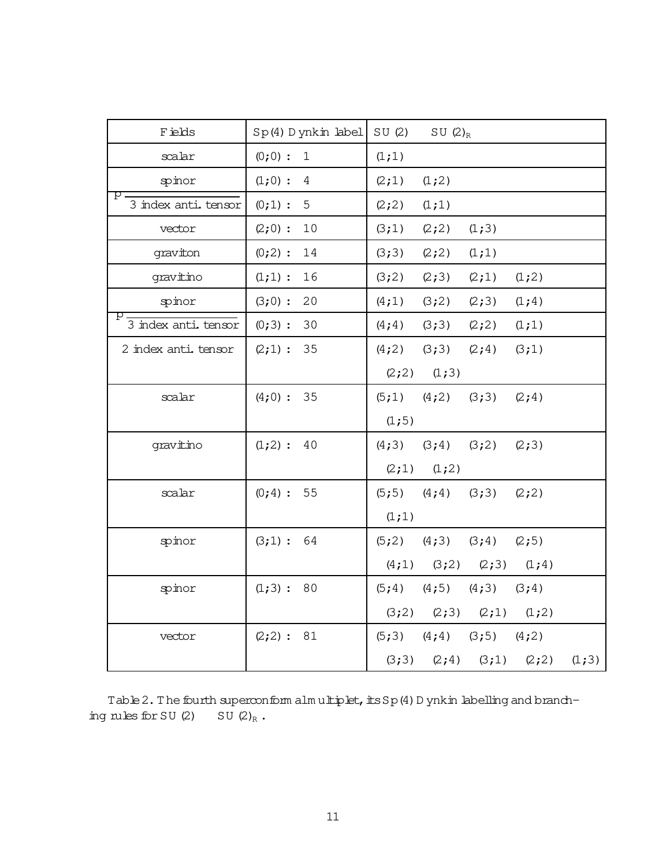| F ields                    | $Sp(4)$ D ynkin label     | SU(2)  | SU $(2)_R$              |                   |        |       |
|----------------------------|---------------------------|--------|-------------------------|-------------------|--------|-------|
| scalar                     | $(0;0)$ :<br>$\mathbf{1}$ | (1;1)  |                         |                   |        |       |
| spinor                     | $(1;0)$ :<br>4            | (2;1)  | (1;2)                   |                   |        |       |
| р.<br>3 index anti, tensor | $(0;1)$ :<br>5            | (2; 2) | (1;1)                   |                   |        |       |
| vector                     | $(2;0)$ :<br>10           | (3;1)  | (2; 2)                  | (1;3)             |        |       |
| graviton                   | $(0;2)$ :<br>14           | (3;3)  | (2; 2)                  | (1;1)             |        |       |
| gravitino                  | $(1;1)$ :<br>16           | (3;2)  | (2;3)                   | (2;1)             | (1;2)  |       |
| spinor                     | $(3;0)$ :<br>20           | (4;1)  | (3;2)                   | (2;3)             | (1; 4) |       |
| р<br>3 index anti. tensor  | (0;3):<br>30              | (4; 4) | (3;3)                   | (2; 2)            | (1;1)  |       |
| 2 index anti. tensor       | (2;1):<br>35              | (4;2)  | (3;3)                   | (2; 4)            | (3;1)  |       |
|                            |                           |        | $(2;2)$ $(1;3)$         |                   |        |       |
| scalar                     | $(4;0)$ : 35              |        | $(5;1)$ $(4;2)$ $(3;3)$ |                   | (2; 4) |       |
|                            |                           | (1;5)  |                         |                   |        |       |
| gravitino                  | $(1;2)$ :<br>40           | (4;3)  | (3;4)                   | (3;2)             | (2;3)  |       |
|                            |                           | (2;1)  | (1;2)                   |                   |        |       |
| scalar                     | (0;4): 55                 | (5;5)  | $(4; 4)$ $(3; 3)$       |                   | (2; 2) |       |
|                            |                           | (1;1)  |                         |                   |        |       |
| spinor                     | (3;1): 64                 | (5; 2) | $(4;3)$ $(3;4)$         |                   | (2;5)  |       |
|                            |                           | (4;1)  | (3;2)                   | (2;3)             | (1; 4) |       |
| spinor                     | (1;3): 80                 | (5; 4) | (4;5)                   | (4;3)             | (3;4)  |       |
|                            |                           | (3;2)  |                         | $(2;3)$ $(2;1)$   | (1;2)  |       |
| vector                     | (2;2): 81                 | (5;3)  |                         | $(4; 4)$ $(3; 5)$ | (4;2)  |       |
|                            |                           | (3;3)  | (2; 4)                  | (3;1)             | (2; 2) | (1;3) |

Table 2. The fourth superconform alm ultiplet, its  $Sp(4)$  D ynkin labelling and branching rules for SU  $(2)$  SU  $(2)_R$ .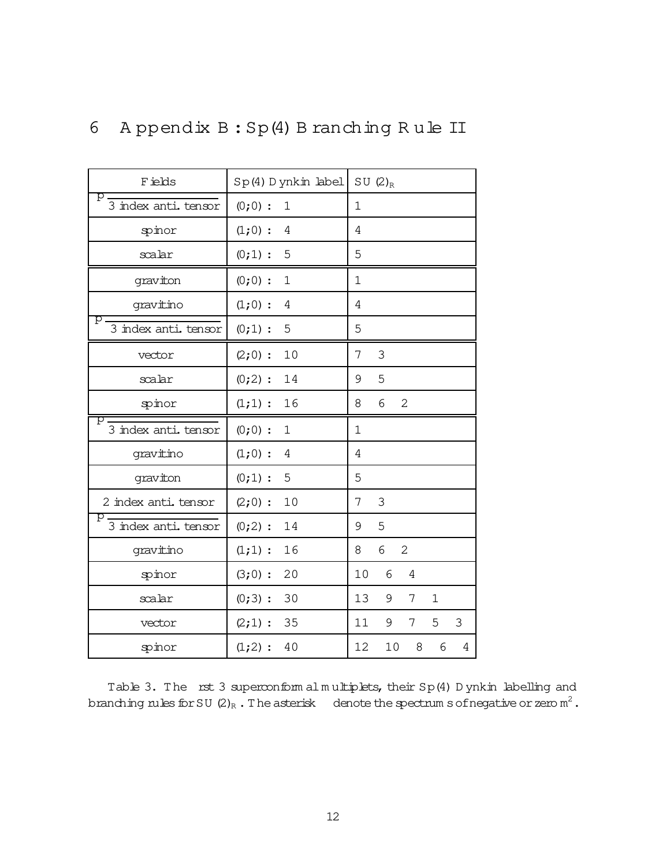| F ields                   | $Sp(4)$ D ynkin label       | SU $(2)_{R}$                |
|---------------------------|-----------------------------|-----------------------------|
| р<br>3 index anti, tensor | $(0;0)$ :<br>$\mathbf 1$    | $\mathbf 1$                 |
| spinor                    | $(1;0)$ :<br>4              | 4                           |
| scalar                    | $(0;1)$ :<br>5              | 5                           |
| graviton                  | $(0;0)$ :<br>$\mathbf 1$    | 1                           |
| gravitino                 | $(1;0)$ :<br>$\overline{4}$ | 4                           |
| р<br>3 index anti. tensor | $(0;1)$ :<br>5              | 5                           |
| vector                    | $(2;0)$ :<br>10             | 3<br>7                      |
| scalar                    | $(0;2)$ :<br>14             | 5<br>9                      |
| spinor                    | $(1;1)$ :<br>16             | 6<br>$\overline{2}$<br>8    |
| p<br>3 index anti. tensor | $(0;0)$ :<br>$\mathbf 1$    | $\mathbf 1$                 |
| gravitino                 | $(1;0)$ :<br>4              | 4                           |
| graviton                  | $(0;1)$ :<br>5              | 5                           |
| 2 index anti. tensor      | $(2;0)$ :<br>10             | 3<br>7                      |
| р<br>3 index anti. tensor | $(0;2)$ :<br>14             | 5<br>9                      |
| gravitino                 | 16<br>$(1;1)$ :             | 6<br>$\overline{2}$<br>8    |
| spinor                    | $(3;0)$ :<br>20             | 10<br>6<br>$\overline{4}$   |
| scalar                    | $(0;3)$ :<br>30             | 13<br>9<br>7<br>$\mathbf 1$ |
| vector                    | $(2;1)$ :<br>35             | 9<br>5<br>3<br>11<br>7      |
| spinor                    | 40<br>$(1;2)$ :             | 12<br>10<br>8<br>6<br>4     |

## 6 A ppendix  $B : Sp(4)$  B ranching Rule II

Table 3. The rst 3 superconform alm ultiplets, their Sp(4) D ynkin labelling and branching rules for SU (2)<sub>R</sub> . The asterisk denote the spectrum s of negative or zero  $\mathsf{m}^2$  .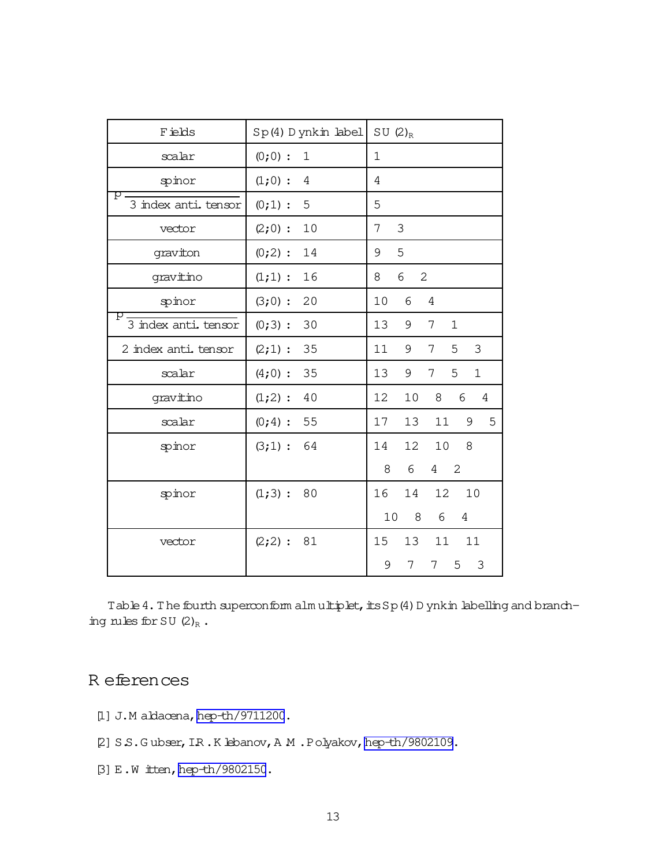<span id="page-13-0"></span>

| F ields                    | Sp(4) Dynkin label          | SU $(2)_R$                           |
|----------------------------|-----------------------------|--------------------------------------|
| scalar                     | $(0;0)$ :<br>$\mathbf 1$    | $\mathbf{1}$                         |
| spinor                     | $(1;0)$ :<br>$\overline{4}$ | 4                                    |
| р<br>3 index anti, tensor  | $(0;1)$ :<br>5              | 5                                    |
| vector                     | 10<br>$(2;0)$ :             | 3<br>7                               |
| graviton                   | $(0;2)$ :<br>14             | 5<br>9                               |
| gravitino                  | $(1;1)$ :<br>16             | 6<br>2<br>8                          |
| spinor                     | $(3;0)$ :<br>20             | 10<br>6<br>$\overline{4}$            |
| p.<br>3 index anti. tensor | $(0;3)$ :<br>30             | 13<br>9<br>7<br>$\mathbf{1}$         |
| 2 index anti, tensor       | 35<br>$(2;1)$ :             | 5<br>11<br>9<br>3<br>7               |
| scalar                     | 35<br>$(4;0)$ :             | 13<br>5<br>$\mathbf{1}$<br>9<br>7    |
| gravitino                  | $(1;2)$ :<br>40             | 12<br>10<br>8<br>6<br>$\overline{4}$ |
| scalar                     | $(0;4)$ :<br>55             | 17<br>13<br>9<br>5<br>11             |
| spinor                     | (3;1):<br>64                | 12<br>10<br>14<br>8                  |
|                            |                             | 6<br>2<br>8<br>4                     |
| spinor                     | $(1;3)$ :<br>80             | 10<br>16<br>14<br>12                 |
|                            |                             | 10<br>8<br>6<br>$\overline{4}$       |
| vector                     | $(2; 2)$ :<br>81            | 11<br>15<br>13<br>11                 |
|                            |                             | 5<br>3<br>9<br>7<br>7                |

Table 4. The fourth superconform alm ultiplet, its Sp(4) D ynkin labelling and branching rules for SU  $(2)_R$ .

### R eferences

- [1] J.M aldacena, [hep-th/9711200](http://arxiv.org/abs/hep-th/9711200).
- [2] S.S.G ubser, I.R.K lebanov, A.M.Polyakov, hep-th/9802109.
- [3] E.W itten[,hep-th/9802150](http://arxiv.org/abs/hep-th/9802150).